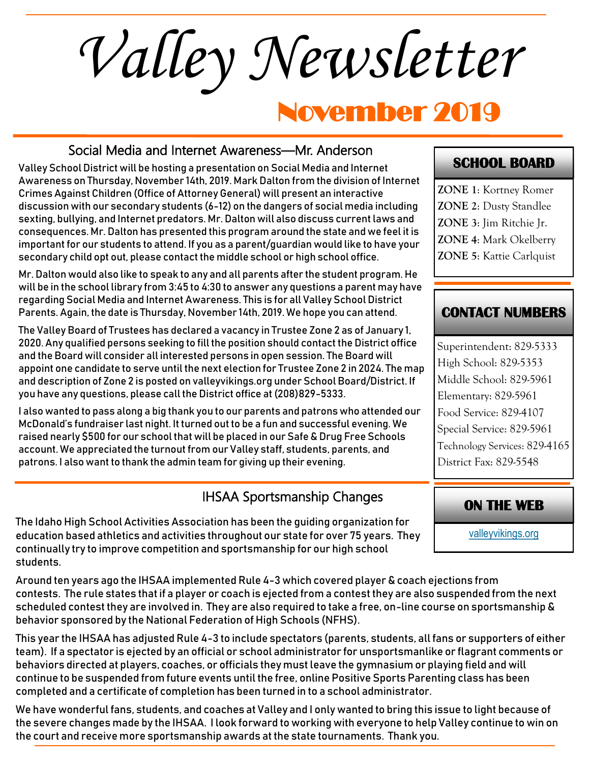*Valley Newsletter*

# November 2019

#### Social Media and Internet Awareness—Mr. Anderson

Valley School District will be hosting a presentation on Social Media and Internet Awareness on Thursday, November 14th, 2019. Mark Dalton from the division of Internet Crimes Against Children (Office of Attorney General) will present an interactive discussion with our secondary students (6-12) on the dangers of social media including sexting, bullying, and Internet predators. Mr. Dalton will also discuss current laws and consequences. Mr. Dalton has presented this program around the state and we feel it is important for our students to attend. If you as a parent/guardian would like to have your secondary child opt out, please contact the middle school or high school office.

Mr. Dalton would also like to speak to any and all parents after the student program. He will be in the school library from 3:45 to 4:30 to answer any questions a parent may have regarding Social Media and Internet Awareness. This is for all Valley School District Parents. Again, the date is Thursday, November 14th, 2019. We hope you can attend.

The Valley Board of Trustees has declared a vacancy in Trustee Zone 2 as of January 1, 2020. Any qualified persons seeking to fill the position should contact the District office and the Board will consider all interested persons in open session. The Board will appoint one candidate to serve until the next election for Trustee Zone 2 in 2024. The map and description of Zone 2 is posted on valleyvikings.org under School Board/District. If you have any questions, please call the District office at (208)829-5333.

I also wanted to pass along a big thank you to our parents and patrons who attended our McDonald's fundraiser last night. It turned out to be a fun and successful evening. We raised nearly \$500 for our school that will be placed in our Safe & Drug Free Schools account. We appreciated the turnout from our Valley staff, students, parents, and patrons. I also want to thank the admin team for giving up their evening.

# IHSAA Sportsmanship Changes

The Idaho High School Activities Association has been the guiding organization for education based athletics and activities throughout our state for over 75 years. They continually try to improve competition and sportsmanship for our high school students.

Around ten years ago the IHSAA implemented Rule 4-3 which covered player & coach ejections from contests. The rule states that if a player or coach is ejected from a contest they are also suspended from the next scheduled contest they are involved in. They are also required to take a free, on-line course on sportsmanship & behavior sponsored by the National Federation of High Schools (NFHS).

This year the IHSAA has adjusted Rule 4-3 to include spectators (parents, students, all fans or supporters of either team). If a spectator is ejected by an official or school administrator for unsportsmanlike or flagrant comments or behaviors directed at players, coaches, or officials they must leave the gymnasium or playing field and will continue to be suspended from future events until the free, online Positive Sports Parenting class has been completed and a certificate of completion has been turned in to a school administrator.

We have wonderful fans, students, and coaches at Valley and I only wanted to bring this issue to light because of the severe changes made by the IHSAA. I look forward to working with everyone to help Valley continue to win on the court and receive more sportsmanship awards at the state tournaments. Thank you.

#### **SCHOOL BOARD**

**ZONE 1**: Kortney Romer **ZONE 2**: Dusty Standlee **ZONE 3**: Jim Ritchie Jr. **ZONE 4**: Mark Okelberry **ZONE 5**: Kattie Carlquist

#### **CONTACT NUMBERS**

Superintendent: 829-5333 High School: 829-5353 Middle School: 829-5961 Elementary: 829-5961 Food Service: 829-4107 Special Service: 829-5961 Technology Services: 829-4165 District Fax: 829-5548

#### **ON THE WEB**

[valleyvikings.org](http://www.valleyvikings.org/)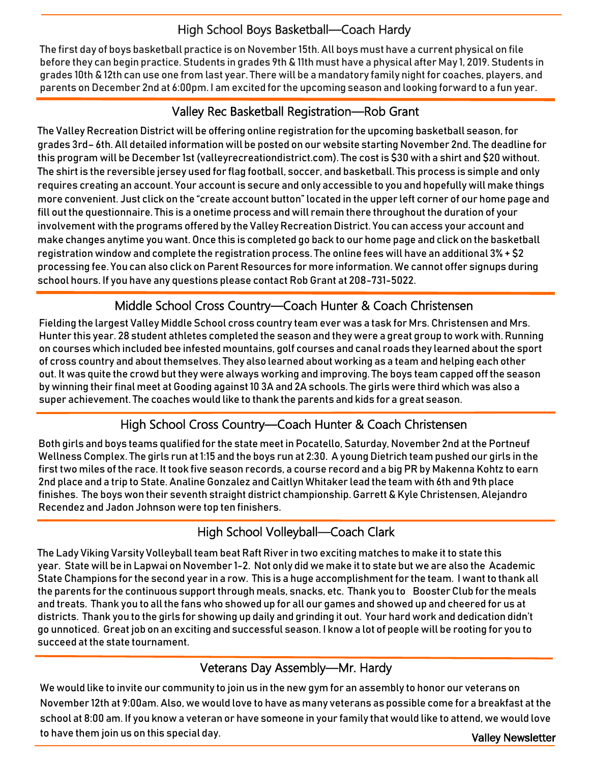# High School Boys Basketball—Coach Hardy

The first day of boys basketball practice is on November 15th. All boys must have a current physical on file before they can begin practice. Students in grades 9th & 11th must have a physical after May 1, 2019. Students in grades 10th & 12th can use one from last year. There will be a mandatory family night for coaches, players, and parents on December 2nd at 6:00pm. I am excited for the upcoming season and looking forward to a fun year.

#### Valley Rec Basketball Registration—Rob Grant

The Valley Recreation District will be offering online registration for the upcoming basketball season, for grades 3rd– 6th. All detailed information will be posted on our website starting November 2nd. The deadline for this program will be December 1st (valleyrecreationdistrict.com). The cost is \$30 with a shirt and \$20 without. The shirt is the reversible jersey used for flag football, soccer, and basketball. This process is simple and only requires creating an account. Your account is secure and only accessible to you and hopefully will make things more convenient. Just click on the "create account button" located in the upper left corner of our home page and fill out the questionnaire. This is a onetime process and will remain there throughout the duration of your involvement with the programs offered by the Valley Recreation District. You can access your account and make changes anytime you want. Once this is completed go back to our home page and click on the basketball registration window and complete the registration process. The online fees will have an additional 3% + \$2 processing fee. You can also click on Parent Resources for more information. We cannot offer signups during school hours. If you have any questions please contact Rob Grant at 208-731-5022.

# Middle School Cross Country—Coach Hunter & Coach Christensen

Fielding the largest Valley Middle School cross country team ever was a task for Mrs. Christensen and Mrs. Hunter this year. 28 student athletes completed the season and they were a great group to work with. Running on courses which included bee infested mountains, golf courses and canal roads they learned about the sport of cross country and about themselves. They also learned about working as a team and helping each other out. It was quite the crowd but they were always working and improving. The boys team capped off the season by winning their final meet at Gooding against 10 3A and 2A schools. The girls were third which was also a super achievement. The coaches would like to thank the parents and kids for a great season.

# High School Cross Country—Coach Hunter & Coach Christensen

Both girls and boys teams qualified for the state meet in Pocatello, Saturday, November 2nd at the Portneuf Wellness Complex. The girls run at 1:15 and the boys run at 2:30. A young Dietrich team pushed our girls in the first two miles of the race. It took five season records, a course record and a big PR by Makenna Kohtz to earn 2nd place and a trip to State. Analine Gonzalez and Caitlyn Whitaker lead the team with 6th and 9th place finishes. The boys won their seventh straight district championship. Garrett & Kyle Christensen, Alejandro Recendez and Jadon Johnson were top ten finishers.

#### High School Volleyball—Coach Clark

The Lady Viking Varsity Volleyball team beat Raft River in two exciting matches to make it to state this year. State will be in Lapwai on November 1-2. Not only did we make it to state but we are also the Academic State Champions for the second year in a row. This is a huge accomplishment for the team. I want to thank all the parents for the continuous support through meals, snacks, etc. Thank you to Booster Club for the meals and treats. Thank you to all the fans who showed up for all our games and showed up and cheered for us at districts. Thank you to the girls for showing up daily and grinding it out. Your hard work and dedication didn't go unnoticed. Great job on an exciting and successful season. I know a lot of people will be rooting for you to succeed at the state tournament.

#### Veterans Day Assembly—Mr. Hardy

Valley Newsletter We would like to invite our community to join us in the new gym for an assembly to honor our veterans on November 12th at 9:00am. Also, we would love to have as many veterans as possible come for a breakfast at the school at 8:00 am. If you know a veteran or have someone in your family that would like to attend, we would love to have them join us on this special day.